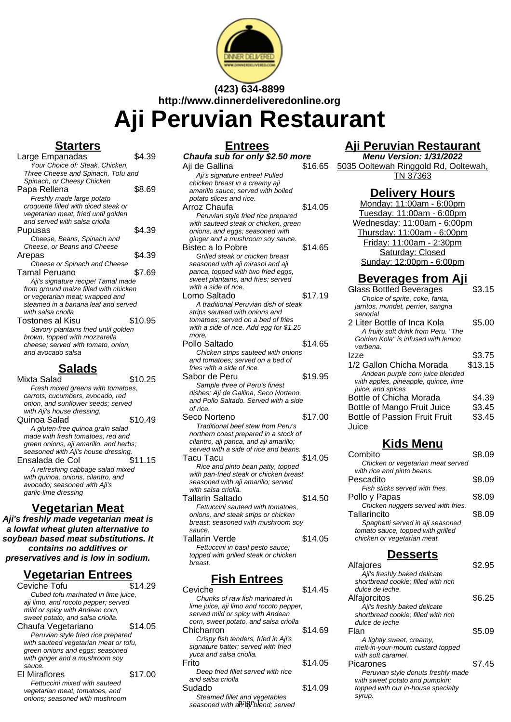

# **(423) 634-8899 http://www.dinnerdeliveredonline.org**

**Aji Peruvian Restaurant**

## **Starters**

| Large Empanadas                       | \$4.39  |
|---------------------------------------|---------|
| Your Choice of: Steak, Chicken,       |         |
| Three Cheese and Spinach, Tofu and    |         |
| Spinach, or Cheesy Chicken            |         |
| Papa Rellena                          | \$8.69  |
| Freshly made large potato             |         |
| croquette filled with diced steak or  |         |
| vegetarian meat, fried until golden   |         |
| and served with salsa criolla         |         |
| Pupusas                               | \$4.39  |
| Cheese, Beans, Spinach and            |         |
| Cheese, or Beans and Cheese           |         |
| Arepas                                | \$4.39  |
| Cheese or Spinach and Cheese          |         |
| Tamal Peruano                         | \$7.69  |
| Aji's signature recipe! Tamal made    |         |
| from ground maize filled with chicken |         |
| or vegetarian meat; wrapped and       |         |
| steamed in a banana leaf and served   |         |
| with salsa criolla                    |         |
| Tostones al Kisu                      | \$10.95 |
| Savory plantains fried until golden   |         |
| brown, topped with mozzarella         |         |
| cheese; served with tomato, onion,    |         |
| and avocado salsa                     |         |

## **Salads**

Mixta Salad \$10.25 Fresh mixed greens with tomatoes, carrots, cucumbers, avocado, red onion, and sunflower seeds; served with Aji's house dressing. Quinoa Salad \$10.49 A gluten-free quinoa grain salad made with fresh tomatoes, red and green onions, aji amarillo, and herbs; seasoned with Aji's house dressing. Ensalada de Col  $$11.15$ A refreshing cabbage salad mixed with quinoa, onions, cilantro, and avocado; seasoned with Aji's garlic-lime dressing

## **Vegetarian Meat**

**Aji's freshly made vegetarian meat is a lowfat wheat gluten alternative to soybean based meat substitutions. It contains no additives or preservatives and is low in sodium.**

## **Vegetarian Entrees**

| Ceviche Tofu                          | \$14.29 |
|---------------------------------------|---------|
| Cubed tofu marinated in lime juice,   |         |
| aji limo, and rocoto pepper; served   |         |
| mild or spicy with Andean corn,       |         |
| sweet potato, and salsa criolla.      |         |
| Chaufa Vegetariano                    | \$14.05 |
| Peruvian style fried rice prepared    |         |
| with sauteed vegetarian meat or tofu, |         |
| green onions and eggs; seasoned       |         |
| with ginger and a mushroom soy        |         |
| sauce.                                |         |
| <b>El Miraflores</b>                  | \$17.00 |
| Fettuccini mixed with sauteed         |         |
| vegetarian meat, tomatoes, and        |         |
| onions: seasoned with mushroom        |         |
|                                       |         |

| <b>Entrees</b>                                                         |         |
|------------------------------------------------------------------------|---------|
| Chaufa sub for only \$2.50 more                                        |         |
| Aji de Gallina                                                         | \$16.65 |
| Aji's signature entree! Pulled                                         |         |
| chicken breast in a creamy aji                                         |         |
| amarillo sauce; served with boiled                                     |         |
| potato slices and rice.                                                |         |
| Arroz Chaufa                                                           | \$14.05 |
| Peruvian style fried rice prepared                                     |         |
| with sauteed steak or chicken, green                                   |         |
| onions, and eggs; seasoned with                                        |         |
| ginger and a mushroom soy sauce.                                       |         |
| Bistec a lo Pobre                                                      | \$14.65 |
| Grilled steak or chicken breast                                        |         |
| seasoned with aji mirasol and aji                                      |         |
| panca, topped with two fried eggs,                                     |         |
| sweet plantains, and fries; served                                     |         |
| with a side of rice.                                                   |         |
| Lomo Saltado                                                           | \$17.19 |
| A traditional Peruvian dish of steak                                   |         |
| strips sauteed with onions and                                         |         |
| tomatoes: served on a bed of fries                                     |         |
| with a side of rice. Add egg for \$1.25                                |         |
| more.                                                                  |         |
| Pollo Saltado                                                          | \$14.65 |
| Chicken strips sauteed with onions                                     |         |
| and tomatoes; served on a bed of<br>fries with a side of rice.         |         |
| Sabor de Peru                                                          | \$19.95 |
|                                                                        |         |
| Sample three of Peru's finest<br>dishes; Aji de Gallina, Seco Norteno, |         |
| and Pollo Saltado. Served with a side                                  |         |
| of rice.                                                               |         |
| Seco Norteno                                                           | \$17.00 |
| Traditional beef stew from Peru's                                      |         |
| northern coast prepared in a stock of                                  |         |
| cilantro, aji panca, and aji amarillo;                                 |         |
| served with a side of rice and beans.                                  |         |
| Tacu Tacu                                                              | \$14.05 |
| Rice and pinto bean patty, topped                                      |         |
| with pan-fried steak or chicken breast                                 |         |
| seasoned with aji amarillo; served                                     |         |
| with salsa criolla.                                                    |         |
| <b>Tallarin Saltado</b>                                                | \$14.50 |
| Fettuccini sauteed with tomatoes,                                      |         |
| onions, and steak strips or chicken                                    |         |
| breast; seasoned with mushroom soy                                     |         |
| sauce.                                                                 |         |
| Tallarin Verde                                                         | \$14.05 |
| Fettuccini in basil pesto sauce;                                       |         |
| topped with grilled steak or chicken<br>breast.                        |         |
|                                                                        |         |

## **Fish Entrees**

| Ceviche                                 | \$14.45 |
|-----------------------------------------|---------|
| Chunks of raw fish marinated in         |         |
| lime juice, aji limo and rocoto pepper, |         |
| served mild or spicy with Andean        |         |
| corn, sweet potato, and salsa criolla   |         |
| Chicharron                              | \$14.69 |
| Crispy fish tenders, fried in Aji's     |         |
| signature batter: served with fried     |         |
| yuca and salsa criolla.                 |         |
| Frito                                   | \$14.05 |
| Deep fried fillet served with rice      |         |
| and salsa criolla                       |         |
| Sudado                                  | \$14.09 |
| Steamed fillet and vęgetables           |         |
| seasoned with a Pa Pblend; served       |         |

## **Aji Peruvian Restaurant**

**Menu Version: 1/31/2022** 5035 Ooltewah Ringgold Rd, Ooltewah, TN 37363

#### **Delivery Hours**

Monday: 11:00am - 6:00pm Tuesday: 11:00am - 6:00pm Wednesday: 11:00am - 6:00pm Thursday: 11:00am - 6:00pm Friday: 11:00am - 2:30pm Saturday: Closed Sunday: 12:00pm - 6:00pm

## **Beverages from Aji**

| <b>Glass Bottled Beverages</b>       | \$3.15  |
|--------------------------------------|---------|
| Choice of sprite, coke, fanta,       |         |
| jarritos, mundet, perrier, sangria   |         |
| senorial                             |         |
| 2 Liter Bottle of Inca Kola          | \$5.00  |
| A fruity soft drink from Peru. "The  |         |
| Golden Kola" is infused with lemon   |         |
| verbena.                             |         |
| Izze                                 | \$3.75  |
| 1/2 Gallon Chicha Morada             | \$13.15 |
| Andean purple corn juice blended     |         |
| with apples, pineapple, quince, lime |         |
| juice, and spices                    |         |
| Bottle of Chicha Morada              | \$4.39  |
| Bottle of Mango Fruit Juice          | \$3.45  |
| <b>Bottle of Passion Fruit Fruit</b> | \$3.45  |
| Juice                                |         |
|                                      |         |

## **Kids Menu**

| Combito                            | \$8.09 |
|------------------------------------|--------|
| Chicken or vegetarian meat served  |        |
| with rice and pinto beans.         |        |
| Pescadito                          | \$8.09 |
| Fish sticks served with fries.     |        |
| Pollo y Papas                      | \$8.09 |
| Chicken nuggets served with fries. |        |
| Tallarincito                       | \$8.09 |
| Spaghetti served in aji seasoned   |        |
| tomato sauce, topped with grilled  |        |
| chicken or vegetarian meat.        |        |

#### **Desserts**

| Alfajores                           | \$2.95 |
|-------------------------------------|--------|
| Aji's freshly baked delicate        |        |
| shortbread cookie; filled with rich |        |
| dulce de leche.                     |        |
| Alfajorcitos                        | \$6.25 |
| Aji's freshly baked delicate        |        |
| shortbread cookie: filled with rich |        |
| dulce de leche                      |        |
| Flan                                | \$5.09 |
| A lightly sweet, creamy,            |        |
| melt-in-your-mouth custard topped   |        |
| with soft caramel.                  |        |
| Picarones                           | \$7.45 |
| Peruvian style donuts freshly made  |        |
| with sweet potato and pumpkin;      |        |
| topped with our in-house specialty  |        |
| syrup.                              |        |
|                                     |        |